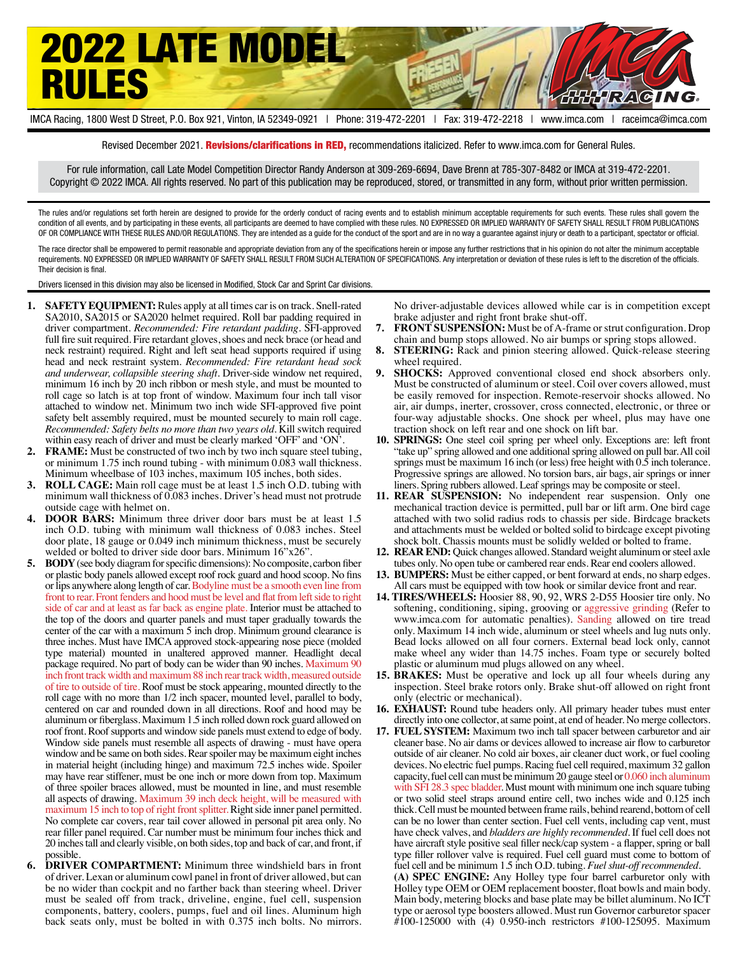

IMCA Racing, 1800 West D Street, P.O. Box 921, Vinton, IA 52349-0921 | Phone: 319-472-2201 | Fax: 319-472-2218 | www.imca.com | raceimca@imca.com

Revised December 2021. Revisions/clarifications in RED, recommendations italicized. Refer to www.imca.com for General Rules.

For rule information, call Late Model Competition Director Randy Anderson at 309-269-6694, Dave Brenn at 785-307-8482 or IMCA at 319-472-2201. Copyright © 2022 IMCA. All rights reserved. No part of this publication may be reproduced, stored, or transmitted in any form, without prior written permission.

The rules and/or regulations set forth herein are designed to provide for the orderly conduct of racing events and to establish minimum acceptable requirements for such events. These rules shall govern the condition of all events, and by participating in these events, all participants are deemed to have complied with these rules. NO EXPRESSED OR IMPLIED WARRANTY OF SAFETY SHALL RESULT FROM PUBLICATIONS OF OR COMPLIANCE WITH THESE RULES AND/OR REGULATIONS. They are intended as a guide for the conduct of the sport and are in no way a guarantee against injury or death to a participant, spectator or official.

The race director shall be empowered to permit reasonable and appropriate deviation from any of the specifications herein or impose any further restrictions that in his opinion do not alter the minimum acceptable requirements. NO EXPRESSED OR IMPLIED WARRANTY OF SAFETY SHALL RESULT FROM SUCH ALTERATION OF SPECIFICATIONS. Any interpretation or deviation of these rules is left to the discretion of the officials. Their decision is final.

Drivers licensed in this division may also be licensed in Modified, Stock Car and Sprint Car divisions.

- **1. SAFETY EQUIPMENT:** Rules apply at all times car is on track. Snell-rated SA2010, SA2015 or SA2020 helmet required. Roll bar padding required in driver compartment. *Recommended: Fire retardant padding*. SFI-approved full fire suit required. Fire retardant gloves, shoes and neck brace (or head and neck restraint) required. Right and left seat head supports required if using head and neck restraint system. *Recommended: Fire retardant head sock and underwear, collapsible steering shaft*. Driver-side window net required, minimum 16 inch by 20 inch ribbon or mesh style, and must be mounted to roll cage so latch is at top front of window. Maximum four inch tall visor attached to window net. Minimum two inch wide SFI-approved five point safety belt assembly required, must be mounted securely to main roll cage. *Recommended: Safety belts no more than two years old*. Kill switch required within easy reach of driver and must be clearly marked 'OFF' and 'ON'.
- **2. FRAME:** Must be constructed of two inch by two inch square steel tubing, or minimum 1.75 inch round tubing - with minimum 0.083 wall thickness. Minimum wheelbase of 103 inches, maximum 105 inches, both sides.
- **3. ROLL CAGE:** Main roll cage must be at least 1.5 inch O.D. tubing with minimum wall thickness of 0.083 inches. Driver's head must not protrude outside cage with helmet on.
- **4. DOOR BARS:** Minimum three driver door bars must be at least 1.5 inch O.D. tubing with minimum wall thickness of 0.083 inches. Steel door plate, 18 gauge or 0.049 inch minimum thickness, must be securely welded or bolted to driver side door bars. Minimum 16"x26".
- **5. BODY** (see body diagram for specific dimensions): No composite, carbon fiber or plastic body panels allowed except roof rock guard and hood scoop. No fins or lips anywhere along length of car. Bodyline must be a smooth even line from front to rear. Front fenders and hood must be level and flat from left side to right side of car and at least as far back as engine plate. Interior must be attached to the top of the doors and quarter panels and must taper gradually towards the center of the car with a maximum 5 inch drop. Minimum ground clearance is three inches. Must have IMCA approved stock-appearing nose piece (molded type material) mounted in unaltered approved manner. Headlight decal package required. No part of body can be wider than 90 inches. Maximum 90 inch front track width and maximum 88 inch rear track width, measured outside of tire to outside of tire. Roof must be stock appearing, mounted directly to the roll cage with no more than 1/2 inch spacer, mounted level, parallel to body, centered on car and rounded down in all directions. Roof and hood may be aluminum or fiberglass. Maximum 1.5 inch rolled down rock guard allowed on roof front. Roof supports and window side panels must extend to edge of body. Window side panels must resemble all aspects of drawing - must have opera window and be same on both sides. Rear spoiler may be maximum eight inches in material height (including hinge) and maximum 72.5 inches wide. Spoiler may have rear stiffener, must be one inch or more down from top. Maximum of three spoiler braces allowed, must be mounted in line, and must resemble all aspects of drawing. Maximum 39 inch deck height, will be measured with maximum 15 inch to top of right front splitter. Right side inner panel permitted. No complete car covers, rear tail cover allowed in personal pit area only. No rear filler panel required. Car number must be minimum four inches thick and 20 inches tall and clearly visible, on both sides, top and back of car, and front, if possible.
- **6. DRIVER COMPARTMENT:** Minimum three windshield bars in front of driver. Lexan or aluminum cowl panel in front of driver allowed, but can be no wider than cockpit and no farther back than steering wheel. Driver must be sealed off from track, driveline, engine, fuel cell, suspension components, battery, coolers, pumps, fuel and oil lines. Aluminum high back seats only, must be bolted in with 0.375 inch bolts. No mirrors.

No driver-adjustable devices allowed while car is in competition except brake adjuster and right front brake shut-off.

- **7. FRONT SUSPENSION:** Must be of A-frame or strut configuration. Drop chain and bump stops allowed. No air bumps or spring stops allowed.
- **8. STEERING:** Rack and pinion steering allowed. Quick-release steering wheel required.
- **SHOCKS:** Approved conventional closed end shock absorbers only. Must be constructed of aluminum or steel. Coil over covers allowed, must be easily removed for inspection. Remote-reservoir shocks allowed. No air, air dumps, inerter, crossover, cross connected, electronic, or three or four-way adjustable shocks. One shock per wheel, plus may have one traction shock on left rear and one shock on lift bar.
- **10. SPRINGS:** One steel coil spring per wheel only. Exceptions are: left front "take up" spring allowed and one additional spring allowed on pull bar. All coil springs must be maximum 16 inch (or less) free height with 0.5 inch tolerance. Progressive springs are allowed. No torsion bars, air bags, air springs or inner liners. Spring rubbers allowed. Leaf springs may be composite or steel.
- **11. REAR SUSPENSION:** No independent rear suspension. Only one mechanical traction device is permitted, pull bar or lift arm. One bird cage attached with two solid radius rods to chassis per side. Birdcage brackets and attachments must be welded or bolted solid to birdcage except pivoting shock bolt. Chassis mounts must be solidly welded or bolted to frame.
- **12. REAR END:** Quick changes allowed. Standard weight aluminum or steel axle tubes only. No open tube or cambered rear ends. Rear end coolers allowed.
- **13. BUMPERS:** Must be either capped, or bent forward at ends, no sharp edges. All cars must be equipped with tow hook or similar device front and rear.
- **14. TIRES/WHEELS:** Hoosier 88, 90, 92, WRS 2-D55 Hoosier tire only. No softening, conditioning, siping, grooving or aggressive grinding (Refer to www.imca.com for automatic penalties). Sanding allowed on tire tread only. Maximum 14 inch wide, aluminum or steel wheels and lug nuts only. Bead locks allowed on all four corners. External bead lock only, cannot make wheel any wider than 14.75 inches. Foam type or securely bolted plastic or aluminum mud plugs allowed on any wheel.
- **15. BRAKES:** Must be operative and lock up all four wheels during any inspection. Steel brake rotors only. Brake shut-off allowed on right front only (electric or mechanical).
- **16. EXHAUST:** Round tube headers only. All primary header tubes must enter directly into one collector, at same point, at end of header. No merge collectors.
- **17. FUEL SYSTEM:** Maximum two inch tall spacer between carburetor and air cleaner base. No air dams or devices allowed to increase air flow to carburetor outside of air cleaner. No cold air boxes, air cleaner duct work, or fuel cooling devices. No electric fuel pumps. Racing fuel cell required, maximum 32 gallon capacity, fuel cell can must be minimum 20 gauge steel or 0.060 inch aluminum with SFI 28.3 spec bladder. Must mount with minimum one inch square tubing or two solid steel straps around entire cell, two inches wide and 0.125 inch thick. Cell must be mounted between frame rails, behind rearend, bottom of cell can be no lower than center section. Fuel cell vents, including cap vent, must have check valves, and *bladders are highly recommended.* If fuel cell does not have aircraft style positive seal filler neck/cap system - a flapper, spring or ball type filler rollover valve is required. Fuel cell guard must come to bottom of fuel cell and be minimum 1.5 inch O.D. tubing. *Fuel shut-off recommended.* **(A) SPEC ENGINE:** Any Holley type four barrel carburetor only with

Holley type OEM or OEM replacement booster, float bowls and main body. Main body, metering blocks and base plate may be billet aluminum. No ICT type or aerosol type boosters allowed. Must run Governor carburetor spacer #100-125000 with (4) 0.950-inch restrictors #100-125095. Maximum